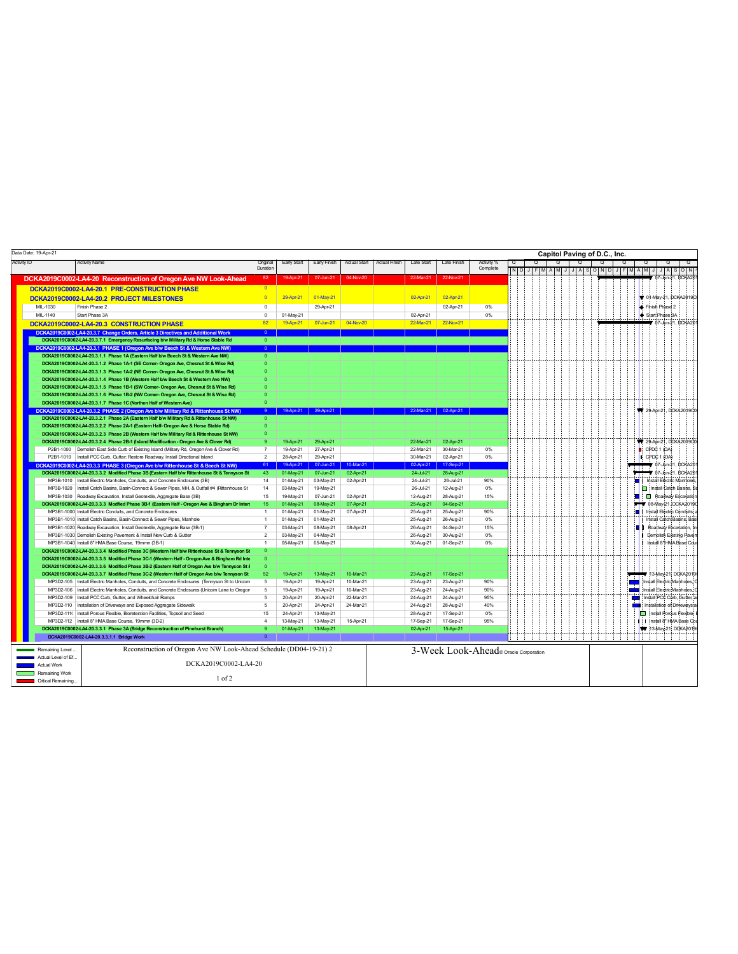| Data Date: 19-Apr-21                        |                                                                                                                                                                                            |                                |             |              |                     |                      |                   |                                       |            |            |   |          |   | Capitol Paving of D.C., Inc. |   |                 |                                         |
|---------------------------------------------|--------------------------------------------------------------------------------------------------------------------------------------------------------------------------------------------|--------------------------------|-------------|--------------|---------------------|----------------------|-------------------|---------------------------------------|------------|------------|---|----------|---|------------------------------|---|-----------------|-----------------------------------------|
| <b>Activity ID</b>                          | <b>Activity Name</b>                                                                                                                                                                       | Original                       | Early Start | Early Finish | <b>Actual Start</b> | <b>Actual Finish</b> | <b>Late Start</b> | <b>Late Finish</b>                    | Activity % | $^{\circ}$ | Q | Q        | Q | Q                            | Q |                 | $\circ$                                 |
|                                             |                                                                                                                                                                                            | Duration                       |             |              |                     |                      |                   |                                       | Complete   |            |   | NDJFMAMJ |   |                              |   | JASONDJFMAMJ    | JASON <sup>:</sup>                      |
|                                             | DCKA2019C0002-LA4-20 Reconstruction of Oregon Ave NW Look-Ahead                                                                                                                            | 82                             | 19-Apr-21   | 07-Jun-21    | 04-Nov-20           |                      | 22-Mar-21         | 22-Nov-21                             |            |            |   |          |   |                              |   |                 | 07-Jun-21, DCKA20                       |
|                                             | DCKA2019C0002-LA4-20.1 PRE-CONSTRUCTION PHASE                                                                                                                                              | $\overline{0}$                 |             |              |                     |                      |                   |                                       |            |            |   |          |   |                              |   |                 |                                         |
|                                             | DCKA2019C0002-LA4-20.2 PROJECT MILESTONES                                                                                                                                                  | $\Omega$                       | 29-Apr-21   | 01-May-21    |                     |                      | 02-Apr-21         | 02-Apr-21                             |            |            |   |          |   |                              |   |                 | 01-May-21, DCKA2019D                    |
| MIL-1030                                    | Finish Phase 2                                                                                                                                                                             | $\Omega$                       |             | 29-Apr-21    |                     |                      |                   | 02-Apr-21                             | 0%         |            |   |          |   |                              |   | Finish Phase 2  |                                         |
| MIL-1140                                    | Start Phase 3A                                                                                                                                                                             | $\overline{0}$                 | 01-May-21   |              |                     |                      | 02-Apr-21         |                                       | 0%         |            |   |          |   |                              |   | Start:Phase 3A  |                                         |
|                                             |                                                                                                                                                                                            | 82                             | 19-Apr-21   | 07-Jun-21    | 04-Nov-20           |                      | 22-Mar-21         | 22-Nov-21                             |            |            |   |          |   |                              |   |                 | 7-Jun-21, DCKA20                        |
|                                             | DCKA2019C0002-LA4-20.3 CONSTRUCTION PHASE                                                                                                                                                  |                                |             |              |                     |                      |                   |                                       |            |            |   |          |   |                              |   |                 |                                         |
|                                             | DCKA2019C0002-LA4-20.3.7 Change Orders, Article 3 Directives and Additional Work                                                                                                           | $\Omega$                       |             |              |                     |                      |                   |                                       |            |            |   |          |   |                              |   |                 |                                         |
|                                             | DCKA2019C0002-LA4-20.3.7.1 Emergency Resurfacing b/w Military Rd & Horse Stable Rd                                                                                                         | $\mathbf{0}$<br>$\overline{0}$ |             |              |                     |                      |                   |                                       |            |            |   |          |   |                              |   |                 |                                         |
|                                             | DCKA2019C0002-LA4-20.3.1 PHASE 1 (Oregon Ave b/w Beech St & Western Ave NW)<br>DCKA2019C0002-LA4-20.3.1.1 Phase 1A (Eastern Half b/w Beech St & Western Ave NW)                            |                                |             |              |                     |                      |                   |                                       |            |            |   |          |   |                              |   |                 |                                         |
|                                             | DCKA2019C0002-LA4-20.3.1.2 Phase 1A-1 (SE Corner- Oregon Ave, Chesnut St & Wise Rd)                                                                                                        |                                |             |              |                     |                      |                   |                                       |            |            |   |          |   |                              |   |                 |                                         |
|                                             | DCKA2019C0002-LA4-20.3.1.3 Phase 1A-2 (NE Corner- Oregon Ave, Chesnut St & Wise Rd)                                                                                                        |                                |             |              |                     |                      |                   |                                       |            |            |   |          |   |                              |   |                 |                                         |
|                                             | DCKA2019C0002-LA4-20.3.1.4 Phase 1B (Western Half b/w Beech St & Western Ave NW)                                                                                                           |                                |             |              |                     |                      |                   |                                       |            |            |   |          |   |                              |   |                 |                                         |
|                                             | DCKA2019C0002-LA4-20.3.1.5 Phase 1B-1 (SW Corner- Oregon Ave, Chesnut St & Wise Rd)                                                                                                        |                                |             |              |                     |                      |                   |                                       |            |            |   |          |   |                              |   |                 |                                         |
|                                             | DCKA2019C0002-LA4-20.3.1.6 Phase 1B-2 (NW Corner- Oregon Ave, Chesnut St & Wise Rd)                                                                                                        |                                |             |              |                     |                      |                   |                                       |            |            |   |          |   |                              |   |                 |                                         |
|                                             | DCKA2019C0002-LA4-20.3.1.7 Phase 1C (Northen Half of Western Ave)                                                                                                                          | $\Omega$                       |             |              |                     |                      |                   |                                       |            |            |   |          |   |                              |   |                 |                                         |
|                                             | DCKA2019C0002-LA4-20.3.2 PHASE 2 (Oregon Ave b/w Military Rd & Rittenhouse St NW)                                                                                                          | -9                             | 19-Apr-21   | 29-Apr-21    |                     |                      |                   | 22-Mar-21 02-Apr-21                   |            |            |   |          |   |                              |   |                 | 29-Apr-21, DCKA2019CC                   |
|                                             | DCKA2019C0002-LA4-20.3.2.1 Phase 2A (Eastern Half b/w Military Rd & Rittenhouse St NW)                                                                                                     |                                |             |              |                     |                      |                   |                                       |            |            |   |          |   |                              |   |                 |                                         |
|                                             | DCKA2019C0002-LA4-20.3.2.2 Phase 2A-1 (Eastern Half- Oregon Ave & Horse Stable Rd)                                                                                                         |                                |             |              |                     |                      |                   |                                       |            |            |   |          |   |                              |   |                 |                                         |
|                                             | DCKA2019C0002-LA4-20.3.2.3 Phase 2B (Western Half b/w Military Rd & Rittenhouse St NW)                                                                                                     |                                |             |              |                     |                      |                   |                                       |            |            |   |          |   |                              |   |                 |                                         |
|                                             | DCKA2019C0002-LA4-20.3.2.4 Phase 2B-1 (Island Modification - Oregon Ave & Clover Rd)                                                                                                       |                                | 19-Apr-21   | 29-Apr-21    |                     |                      | 22-Mar-21         | 02-Apr-21                             |            |            |   |          |   |                              |   |                 | 29-Apr-21, DCKA2019C0                   |
|                                             | P2B1-1000 Demolish East Side Curb of Existing Island (Military Rd, Oregon Ave & Clover Rd)                                                                                                 | $\overline{7}$                 | 19-Apr-21   | 27-Apr-21    |                     |                      | 22-Mar-21         | 30-Mar-21                             | 0%         |            |   |          |   |                              |   | $:$ CPDC 1 (OA) |                                         |
|                                             | P2B1-1010 Install PCC Curb, Gutter; Restore Roadway, Install Directional Island                                                                                                            | $\overline{2}$                 | 28-Apr-21   | 29-Apr-21    |                     |                      | 30-Mar-21         | 02-Apr-21                             | 0%         |            |   |          |   |                              |   | CPDC 1 (OA)     |                                         |
|                                             | DCKA2019C0002-LA4-20.3.3 PHASE 3 (Oregon Ave b/w Rittenhouse St & Beech St NW)                                                                                                             | 61                             | 19-Apr-21   | 07-Jun-21    | 10-Mar-21           |                      | 02-Apr-21         | 17-Sep-21                             |            |            |   |          |   |                              |   |                 | 7 07-Jun-21, DCKA20                     |
|                                             | DCKA2019C0002-LA4-20.3.3.2 Modified Phase 3B (Eastern Half b/w Rittenhouse St & Tennyson St                                                                                                | 43                             | 01-May-21   | 07-Jun-21    | 02-Apr-21           |                      | 24-Jul-21         | 28-Aug-21                             |            |            |   |          |   |                              |   |                 | 7 07-Jun-21, DCKA20                     |
|                                             | MP3B-1010 Install Electric Manholes, Conduits, and Concrete Enclosures (3B)                                                                                                                | 14                             | 01-May-21   | 03-May-21    | 02-Apr-21           |                      | 24-Jul-21         | 26-Jul-21                             | 90%        |            |   |          |   |                              |   | <b>a</b>        | Install Electric Manholes               |
|                                             | MP3B-1020 Install Catch Basins, Basin-Connect & Sewer Pipes, MH, & Outfall #4 (Rittenhouse St                                                                                              | 14                             | 03-May-21   | 19-May-21    |                     |                      | 26-Jul-21         | 12-Aug-21                             | 0%         |            |   |          |   |                              |   |                 | Install Catch Basins, B                 |
|                                             | MP3B-1030 Roadway Excavation, Install Geotextile, Aggregate Base (3B)                                                                                                                      | 15                             | 19-May-21   | 07-Jun-21    | 02-Apr-21           |                      | 12-Aug-21         | 28-Aug-21                             | 15%        |            |   |          |   |                              |   |                 | Roadway Excavation                      |
|                                             | DCKA2019C0002-LA4-20.3.3.3 Modfied Phase 3B-1 (Eastern Half - Oregon Ave & Bingham Dr Inter-                                                                                               | 15                             | 01-May-21   | 08-May-21    | 07-Apr-21           |                      | 25-Aug-21         | 04-Sep-21                             |            |            |   |          |   |                              |   |                 | 08-May-21, DCKA2019                     |
|                                             | MP3B1-1000 Install Electric Conduits, and Concrete Enclosures                                                                                                                              | $\overline{1}$                 | 01-May-21   | 01-May-21    | 07-Apr-21           |                      | 25-Aug-21         | 25-Aug-21                             | 90%        |            |   |          |   |                              |   |                 | Install Electric Conduits               |
|                                             | MP3B1-1010 Install Catch Basins, Basin-Connect & Sewer Pipes, Manhole                                                                                                                      | $\overline{1}$                 | 01-May-21   | 01-May-21    |                     |                      | 25-Aug-21         | 26-Aug-21                             | 0%         |            |   |          |   |                              |   |                 | Install Catch Basins, Bas               |
|                                             | MP3B1-1020 Roadway Excavation, Install Geotextile, Aggregate Base (3B-1)                                                                                                                   |                                | 03-May-21   | 08-May-21    | 08-Apr-21           |                      | 26-Aug-21         | 04-Sep-21                             | 15%        |            |   |          |   |                              |   |                 | <b>B</b> 8 Roadway Excavation, In       |
|                                             | MP3B1-1030 Demolish Existing Pavement & Install New Curb & Gutter                                                                                                                          | $\mathcal{P}$                  | 03-May-21   | 04-May-21    |                     |                      | 26-Aug-21         | 30-Aug-21                             | 0%         |            |   |          |   |                              |   |                 | Demolish Existing Paver                 |
|                                             | MP3B1-1040 Install 8" HMA Base Course, 19mmn (3B-1)                                                                                                                                        | $\overline{1}$                 | 05-May-21   | 05-May-21    |                     |                      | 30-Aug-21         | 01-Sep-21                             | 0%         |            |   |          |   |                              |   |                 | Install 8" HMA Base Cour                |
|                                             | DCKA2019C0002-LA4-20.3.3.4 Modified Phase 3C (Western Half b/w Rittenhouse St & Tennyson St<br>DCKA2019C0002-LA4-20.3.3.5 Modified Phase 3C-1 (Western Half - Oregon Ave & Bingham Rd Inte |                                |             |              |                     |                      |                   |                                       |            |            |   |          |   |                              |   |                 |                                         |
|                                             | DCKA2019C0002-LA4-20.3.3.6 Modified Phase 3B-2 (Eastern Half of Oregon Ave b/w Tennyson St &                                                                                               |                                |             |              |                     |                      |                   |                                       |            |            |   |          |   |                              |   |                 |                                         |
|                                             | DCKA2019C0002-LA4-20.3.3.7 Modified Phase 3C-2 (Western Half of Oregon Ave b/w Tennyson St                                                                                                 | 52                             | 19-Apr-21   | 13-May-21    | 10-Mar-21           |                      | 23-Aug-21         | 17-Sep-21                             |            |            |   |          |   |                              |   |                 | 13-May 21, DCKA2019                     |
|                                             | MP3D2-105 Install Electric Manholes, Conduits, and Concrete Enclosures (Tennyson St to Unicom                                                                                              | 5                              | 19-Apr-21   | 19-Apr-21    | 10-Mar-21           |                      | 23-Aug-21         | 23-Aug-21                             | 90%        |            |   |          |   |                              |   |                 | Install Electric Manholes. (            |
| MP3D2-106                                   | Install Electric Manholes, Conduits, and Concrete Enclosures (Unicom Lane to Oregon                                                                                                        | 5                              | 19-Apr-21   | 19-Apr-21    | 10-Mar-21           |                      | 23-Aug-21         | 24-Aug-21                             | 90%        |            |   |          |   |                              |   |                 | Install Electric:Manholes. <sup>1</sup> |
|                                             | MP3D2-109 Install PCC Curb, Gutter, and Wheelchair Ramps                                                                                                                                   | $\overline{5}$                 | 20-Apr-21   | 20-Apr-21    | 22-Mar-21           |                      | 24-Aug-21         | 24-Aug-21                             | 95%        |            |   |          |   |                              |   |                 | Install POC Curb, Gutter, a             |
|                                             | MP3D2-110 Installation of Driveways and Exposed Aggregate Sidewalk                                                                                                                         | 5                              | 20-Apr-21   | 24-Apr-21    | 24-Mar-21           |                      | 24-Aug-21         | 28-Aug-21                             | 40%        |            |   |          |   |                              |   |                 | Installation of Driveways;a             |
| MP3D2-111                                   | Install Porous Flexible, Bioretention Facilities, Topsoil and Seed                                                                                                                         | 15                             | 24-Apr-21   | 13-May-21    |                     |                      | 28-Aug-21         | 17-Sep-21                             | 0%         |            |   |          |   |                              |   |                 | Install Porqus Flexible;                |
|                                             | MP3D2-112 Install 8" HMA Base Course, 19mmn (3D-2)                                                                                                                                         | $\overline{4}$                 | 13-May-21   | 13-May-21    | 15-Apr-21           |                      | 17-Sep-21         | 17-Sep-21                             | 95%        |            |   |          |   |                              |   |                 | I: I Install 8" HMA Base Co             |
|                                             | DCKA2019C0002-LA4-20.3.3.1 Phase 3A (Bridge Reconstruction of Pinehurst Branch)                                                                                                            | $\mathbf{Q}$                   | 01-May-21   | 13-May-21    |                     |                      | 02-Apr-21         | 15-Apr-21                             |            |            |   |          |   |                              |   |                 | 13-May 21: DCKA2019                     |
|                                             | DCKA2019C0002-LA4-20.3.3.1.1 Bridge Work                                                                                                                                                   | $\overline{0}$                 |             |              |                     |                      |                   |                                       |            |            |   |          |   |                              |   | -111<br>-11     |                                         |
|                                             | Reconstruction of Oregon Ave NW Look-Ahead Schedule (DD04-19-21) 2                                                                                                                         |                                |             |              |                     |                      |                   |                                       |            |            |   |          |   |                              |   |                 |                                         |
| Remaining Level                             |                                                                                                                                                                                            |                                |             |              |                     |                      |                   | 3-Week Look-Ahead® Oracle Corporation |            |            |   |          |   |                              |   |                 |                                         |
| Actual Level of Ef.<br>DCKA2019C0002-LA4-20 |                                                                                                                                                                                            |                                |             |              |                     |                      |                   |                                       |            |            |   |          |   |                              |   |                 |                                         |
| <b>Actual Work</b>                          |                                                                                                                                                                                            |                                |             |              |                     |                      |                   |                                       |            |            |   |          |   |                              |   |                 |                                         |
| Remaining Work<br>Critical Remaining.       | $1$ of $2$                                                                                                                                                                                 |                                |             |              |                     |                      |                   |                                       |            |            |   |          |   |                              |   |                 |                                         |
|                                             |                                                                                                                                                                                            |                                |             |              |                     |                      |                   |                                       |            |            |   |          |   |                              |   |                 |                                         |